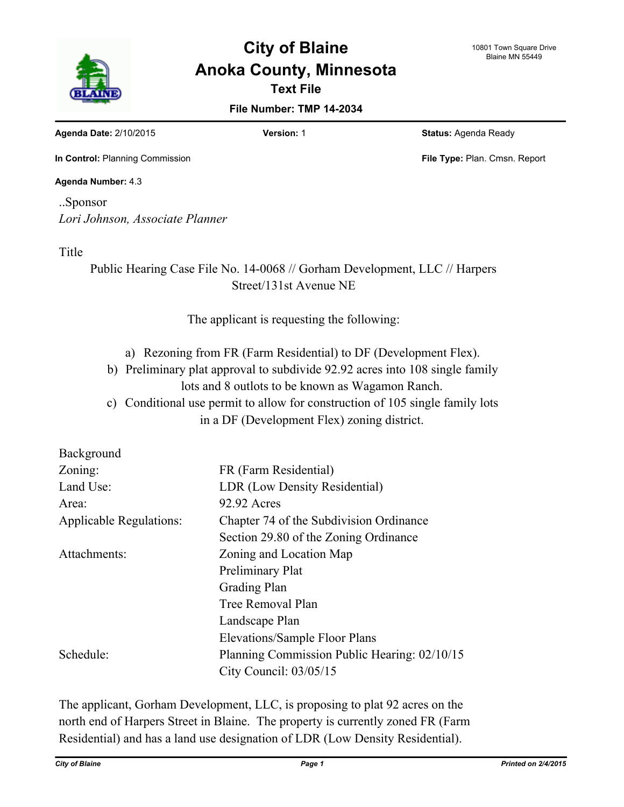

# **Text File City of Blaine Anoka County, Minnesota**

#### **File Number: TMP 14-2034**

**Agenda Date:** 2/10/2015 **Version:** 1 **Status:** Agenda Ready

**In Control:** Planning Commission **File Type:** Plan. Cmsn. Report

#### **Agenda Number:** 4.3

..Sponsor *Lori Johnson, Associate Planner*

Title

Public Hearing Case File No. 14-0068 // Gorham Development, LLC // Harpers Street/131st Avenue NE

### The applicant is requesting the following:

a) Rezoning from FR (Farm Residential) to DF (Development Flex).

b) Preliminary plat approval to subdivide 92.92 acres into 108 single family lots and 8 outlots to be known as Wagamon Ranch.

c) Conditional use permit to allow for construction of 105 single family lots in a DF (Development Flex) zoning district.

| Background                     |                                              |
|--------------------------------|----------------------------------------------|
| Zoning:                        | FR (Farm Residential)                        |
| Land Use:                      | LDR (Low Density Residential)                |
| Area:                          | 92.92 Acres                                  |
| <b>Applicable Regulations:</b> | Chapter 74 of the Subdivision Ordinance      |
|                                | Section 29.80 of the Zoning Ordinance        |
| Attachments:                   | Zoning and Location Map                      |
|                                | Preliminary Plat                             |
|                                | Grading Plan                                 |
|                                | Tree Removal Plan                            |
|                                | Landscape Plan                               |
|                                | Elevations/Sample Floor Plans                |
| Schedule:                      | Planning Commission Public Hearing: 02/10/15 |
|                                | City Council: $03/05/15$                     |

The applicant, Gorham Development, LLC, is proposing to plat 92 acres on the north end of Harpers Street in Blaine. The property is currently zoned FR (Farm Residential) and has a land use designation of LDR (Low Density Residential).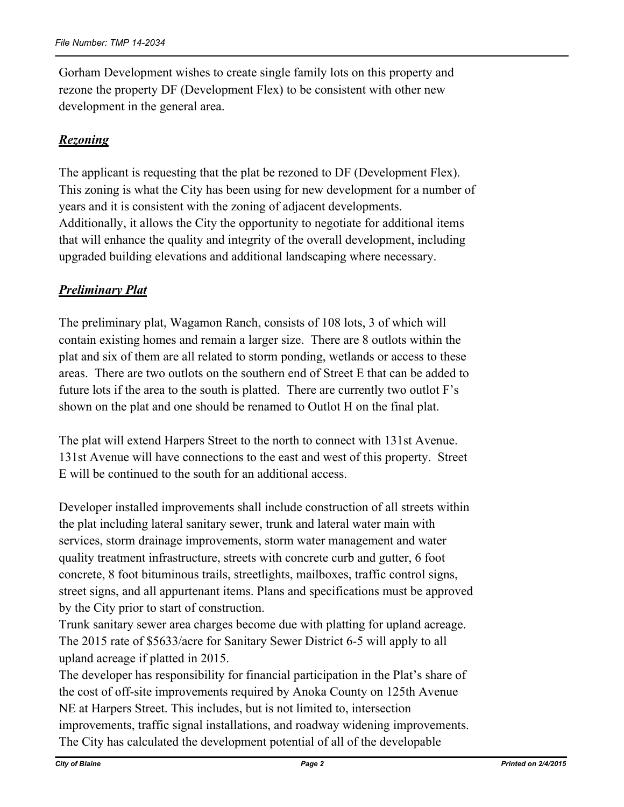Gorham Development wishes to create single family lots on this property and rezone the property DF (Development Flex) to be consistent with other new development in the general area.

### *Rezoning*

The applicant is requesting that the plat be rezoned to DF (Development Flex). This zoning is what the City has been using for new development for a number of years and it is consistent with the zoning of adjacent developments. Additionally, it allows the City the opportunity to negotiate for additional items that will enhance the quality and integrity of the overall development, including upgraded building elevations and additional landscaping where necessary.

### *Preliminary Plat*

The preliminary plat, Wagamon Ranch, consists of 108 lots, 3 of which will contain existing homes and remain a larger size. There are 8 outlots within the plat and six of them are all related to storm ponding, wetlands or access to these areas. There are two outlots on the southern end of Street E that can be added to future lots if the area to the south is platted. There are currently two outlot F's shown on the plat and one should be renamed to Outlot H on the final plat.

The plat will extend Harpers Street to the north to connect with 131st Avenue. 131st Avenue will have connections to the east and west of this property. Street E will be continued to the south for an additional access.

Developer installed improvements shall include construction of all streets within the plat including lateral sanitary sewer, trunk and lateral water main with services, storm drainage improvements, storm water management and water quality treatment infrastructure, streets with concrete curb and gutter, 6 foot concrete, 8 foot bituminous trails, streetlights, mailboxes, traffic control signs, street signs, and all appurtenant items. Plans and specifications must be approved by the City prior to start of construction.

Trunk sanitary sewer area charges become due with platting for upland acreage. The 2015 rate of \$5633/acre for Sanitary Sewer District 6-5 will apply to all upland acreage if platted in 2015.

The developer has responsibility for financial participation in the Plat's share of the cost of off-site improvements required by Anoka County on 125th Avenue NE at Harpers Street. This includes, but is not limited to, intersection improvements, traffic signal installations, and roadway widening improvements. The City has calculated the development potential of all of the developable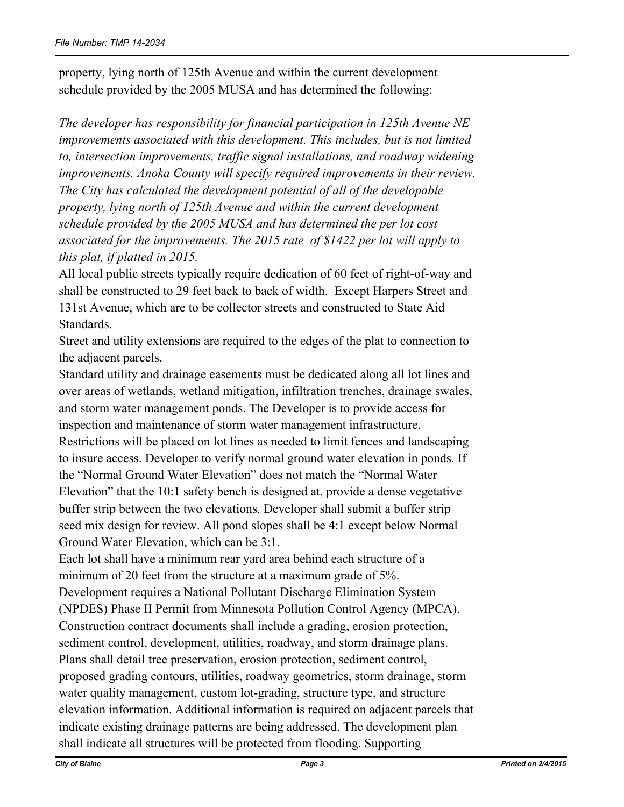property, lying north of 125th Avenue and within the current development schedule provided by the 2005 MUSA and has determined the following:

*The developer has responsibility for financial participation in 125th Avenue NE improvements associated with this development. This includes, but is not limited to, intersection improvements, traffic signal installations, and roadway widening improvements. Anoka County will specify required improvements in their review. The City has calculated the development potential of all of the developable property, lying north of 125th Avenue and within the current development schedule provided by the 2005 MUSA and has determined the per lot cost associated for the improvements. The 2015 rate of \$1422 per lot will apply to this plat, if platted in 2015.*

All local public streets typically require dedication of 60 feet of right-of-way and shall be constructed to 29 feet back to back of width. Except Harpers Street and 131st Avenue, which are to be collector streets and constructed to State Aid Standards.

Street and utility extensions are required to the edges of the plat to connection to the adjacent parcels.

Standard utility and drainage easements must be dedicated along all lot lines and over areas of wetlands, wetland mitigation, infiltration trenches, drainage swales, and storm water management ponds. The Developer is to provide access for inspection and maintenance of storm water management infrastructure. Restrictions will be placed on lot lines as needed to limit fences and landscaping to insure access. Developer to verify normal ground water elevation in ponds. If the "Normal Ground Water Elevation" does not match the "Normal Water Elevation" that the 10:1 safety bench is designed at, provide a dense vegetative buffer strip between the two elevations. Developer shall submit a buffer strip seed mix design for review. All pond slopes shall be 4:1 except below Normal Ground Water Elevation, which can be 3:1.

Each lot shall have a minimum rear yard area behind each structure of a minimum of 20 feet from the structure at a maximum grade of 5%. Development requires a National Pollutant Discharge Elimination System (NPDES) Phase II Permit from Minnesota Pollution Control Agency (MPCA). Construction contract documents shall include a grading, erosion protection, sediment control, development, utilities, roadway, and storm drainage plans. Plans shall detail tree preservation, erosion protection, sediment control, proposed grading contours, utilities, roadway geometrics, storm drainage, storm water quality management, custom lot-grading, structure type, and structure elevation information. Additional information is required on adjacent parcels that indicate existing drainage patterns are being addressed. The development plan shall indicate all structures will be protected from flooding. Supporting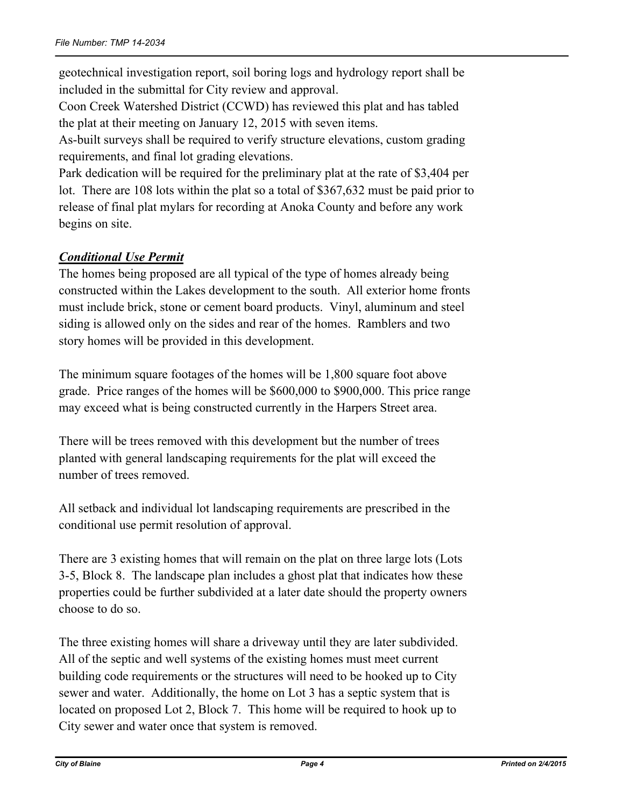geotechnical investigation report, soil boring logs and hydrology report shall be included in the submittal for City review and approval.

Coon Creek Watershed District (CCWD) has reviewed this plat and has tabled the plat at their meeting on January 12, 2015 with seven items.

As-built surveys shall be required to verify structure elevations, custom grading requirements, and final lot grading elevations.

Park dedication will be required for the preliminary plat at the rate of \$3,404 per lot. There are 108 lots within the plat so a total of \$367,632 must be paid prior to release of final plat mylars for recording at Anoka County and before any work begins on site.

## *Conditional Use Permit*

The homes being proposed are all typical of the type of homes already being constructed within the Lakes development to the south. All exterior home fronts must include brick, stone or cement board products. Vinyl, aluminum and steel siding is allowed only on the sides and rear of the homes. Ramblers and two story homes will be provided in this development.

The minimum square footages of the homes will be 1,800 square foot above grade. Price ranges of the homes will be \$600,000 to \$900,000. This price range may exceed what is being constructed currently in the Harpers Street area.

There will be trees removed with this development but the number of trees planted with general landscaping requirements for the plat will exceed the number of trees removed.

All setback and individual lot landscaping requirements are prescribed in the conditional use permit resolution of approval.

There are 3 existing homes that will remain on the plat on three large lots (Lots 3-5, Block 8. The landscape plan includes a ghost plat that indicates how these properties could be further subdivided at a later date should the property owners choose to do so.

The three existing homes will share a driveway until they are later subdivided. All of the septic and well systems of the existing homes must meet current building code requirements or the structures will need to be hooked up to City sewer and water. Additionally, the home on Lot 3 has a septic system that is located on proposed Lot 2, Block 7. This home will be required to hook up to City sewer and water once that system is removed.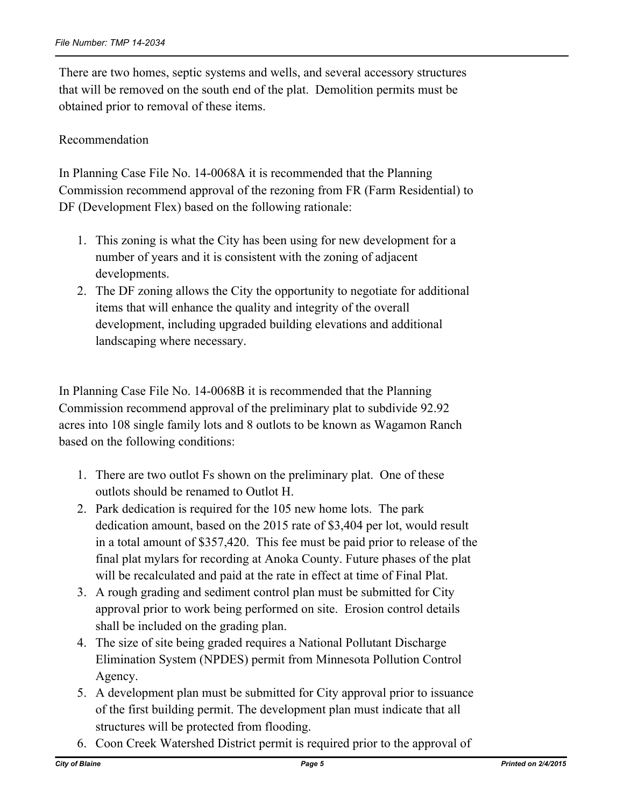There are two homes, septic systems and wells, and several accessory structures that will be removed on the south end of the plat. Demolition permits must be obtained prior to removal of these items.

### Recommendation

In Planning Case File No. 14-0068A it is recommended that the Planning Commission recommend approval of the rezoning from FR (Farm Residential) to DF (Development Flex) based on the following rationale:

- 1. This zoning is what the City has been using for new development for a number of years and it is consistent with the zoning of adjacent developments.
- 2. The DF zoning allows the City the opportunity to negotiate for additional items that will enhance the quality and integrity of the overall development, including upgraded building elevations and additional landscaping where necessary.

In Planning Case File No. 14-0068B it is recommended that the Planning Commission recommend approval of the preliminary plat to subdivide 92.92 acres into 108 single family lots and 8 outlots to be known as Wagamon Ranch based on the following conditions:

- 1. There are two outlot Fs shown on the preliminary plat. One of these outlots should be renamed to Outlot H.
- 2. Park dedication is required for the 105 new home lots. The park dedication amount, based on the 2015 rate of \$3,404 per lot, would result in a total amount of \$357,420. This fee must be paid prior to release of the final plat mylars for recording at Anoka County. Future phases of the plat will be recalculated and paid at the rate in effect at time of Final Plat.
- 3. A rough grading and sediment control plan must be submitted for City approval prior to work being performed on site. Erosion control details shall be included on the grading plan.
- 4. The size of site being graded requires a National Pollutant Discharge Elimination System (NPDES) permit from Minnesota Pollution Control Agency.
- 5. A development plan must be submitted for City approval prior to issuance of the first building permit. The development plan must indicate that all structures will be protected from flooding.
- 6. Coon Creek Watershed District permit is required prior to the approval of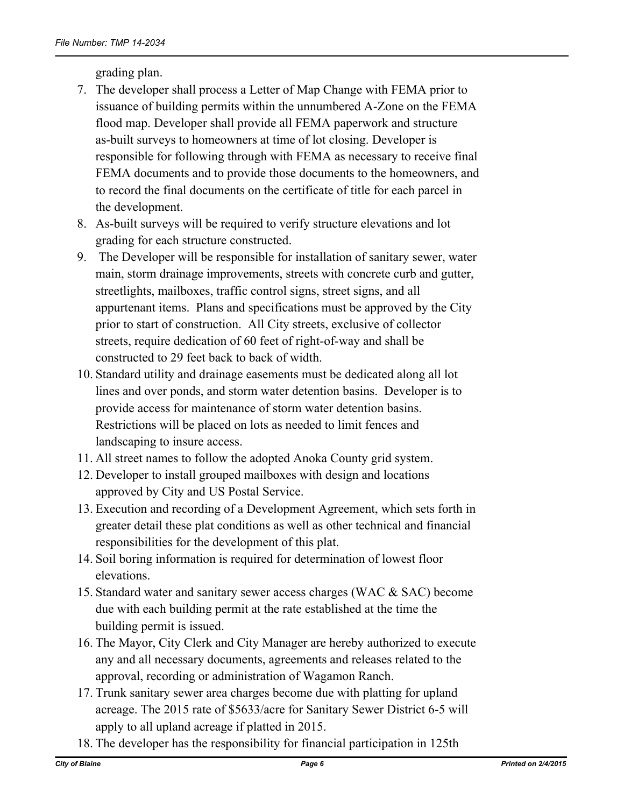grading plan.

- 7. The developer shall process a Letter of Map Change with FEMA prior to issuance of building permits within the unnumbered A-Zone on the FEMA flood map. Developer shall provide all FEMA paperwork and structure as-built surveys to homeowners at time of lot closing. Developer is responsible for following through with FEMA as necessary to receive final FEMA documents and to provide those documents to the homeowners, and to record the final documents on the certificate of title for each parcel in the development.
- 8. As-built surveys will be required to verify structure elevations and lot grading for each structure constructed.
- 9. The Developer will be responsible for installation of sanitary sewer, water main, storm drainage improvements, streets with concrete curb and gutter, streetlights, mailboxes, traffic control signs, street signs, and all appurtenant items. Plans and specifications must be approved by the City prior to start of construction. All City streets, exclusive of collector streets, require dedication of 60 feet of right-of-way and shall be constructed to 29 feet back to back of width.
- 10. Standard utility and drainage easements must be dedicated along all lot lines and over ponds, and storm water detention basins. Developer is to provide access for maintenance of storm water detention basins. Restrictions will be placed on lots as needed to limit fences and landscaping to insure access.
- 11. All street names to follow the adopted Anoka County grid system.
- 12. Developer to install grouped mailboxes with design and locations approved by City and US Postal Service.
- 13. Execution and recording of a Development Agreement, which sets forth in greater detail these plat conditions as well as other technical and financial responsibilities for the development of this plat.
- 14. Soil boring information is required for determination of lowest floor elevations.
- 15. Standard water and sanitary sewer access charges (WAC & SAC) become due with each building permit at the rate established at the time the building permit is issued.
- 16. The Mayor, City Clerk and City Manager are hereby authorized to execute any and all necessary documents, agreements and releases related to the approval, recording or administration of Wagamon Ranch.
- 17. Trunk sanitary sewer area charges become due with platting for upland acreage. The 2015 rate of \$5633/acre for Sanitary Sewer District 6-5 will apply to all upland acreage if platted in 2015.
- 18. The developer has the responsibility for financial participation in 125th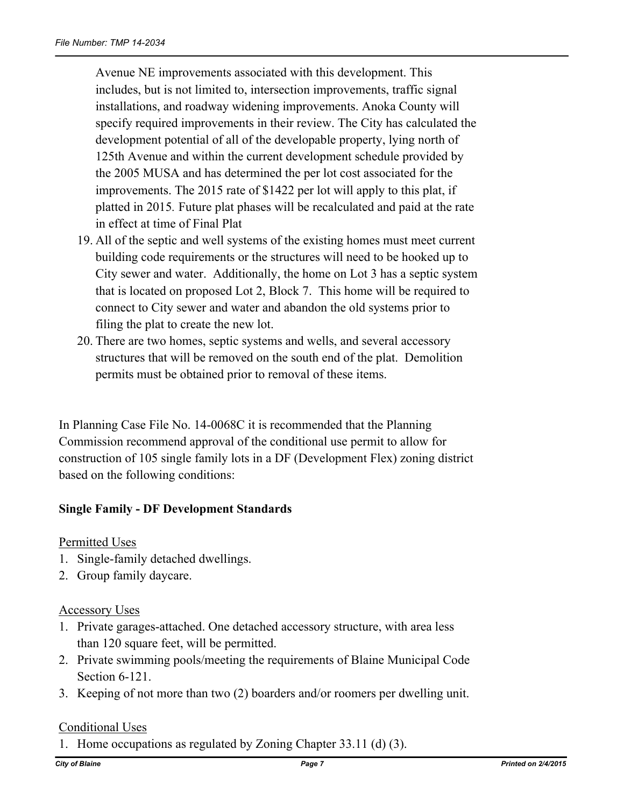Avenue NE improvements associated with this development. This includes, but is not limited to, intersection improvements, traffic signal installations, and roadway widening improvements. Anoka County will specify required improvements in their review. The City has calculated the development potential of all of the developable property, lying north of 125th Avenue and within the current development schedule provided by the 2005 MUSA and has determined the per lot cost associated for the improvements. The 2015 rate of \$1422 per lot will apply to this plat, if platted in 2015*.* Future plat phases will be recalculated and paid at the rate in effect at time of Final Plat

- 19. All of the septic and well systems of the existing homes must meet current building code requirements or the structures will need to be hooked up to City sewer and water. Additionally, the home on Lot 3 has a septic system that is located on proposed Lot 2, Block 7. This home will be required to connect to City sewer and water and abandon the old systems prior to filing the plat to create the new lot.
- 20. There are two homes, septic systems and wells, and several accessory structures that will be removed on the south end of the plat. Demolition permits must be obtained prior to removal of these items.

In Planning Case File No. 14-0068C it is recommended that the Planning Commission recommend approval of the conditional use permit to allow for construction of 105 single family lots in a DF (Development Flex) zoning district based on the following conditions:

### **Single Family - DF Development Standards**

Permitted Uses

- 1. Single-family detached dwellings.
- 2. Group family daycare.

#### Accessory Uses

- 1. Private garages-attached. One detached accessory structure, with area less than 120 square feet, will be permitted.
- 2. Private swimming pools/meeting the requirements of Blaine Municipal Code Section 6-121.
- 3. Keeping of not more than two (2) boarders and/or roomers per dwelling unit.

### Conditional Uses

1. Home occupations as regulated by Zoning Chapter 33.11 (d) (3).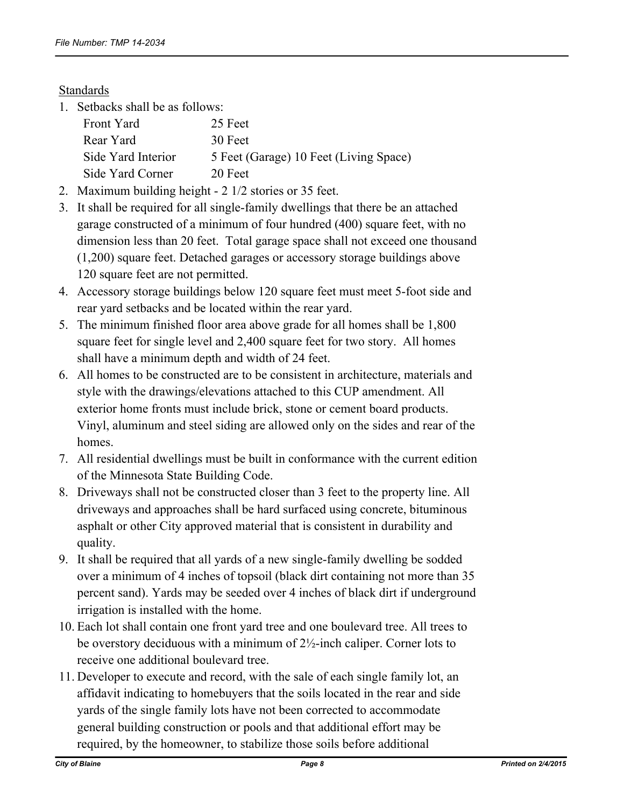### Standards

1. Setbacks shall be as follows:

| Front Yard         | 25 Feet                                |
|--------------------|----------------------------------------|
| Rear Yard          | 30 Feet                                |
| Side Yard Interior | 5 Feet (Garage) 10 Feet (Living Space) |
| Side Yard Corner   | 20 Feet                                |

- 2. Maximum building height 2 1/2 stories or 35 feet.
- 3. It shall be required for all single-family dwellings that there be an attached garage constructed of a minimum of four hundred (400) square feet, with no dimension less than 20 feet. Total garage space shall not exceed one thousand (1,200) square feet. Detached garages or accessory storage buildings above 120 square feet are not permitted.
- 4. Accessory storage buildings below 120 square feet must meet 5-foot side and rear yard setbacks and be located within the rear yard.
- 5. The minimum finished floor area above grade for all homes shall be 1,800 square feet for single level and 2,400 square feet for two story. All homes shall have a minimum depth and width of 24 feet.
- 6. All homes to be constructed are to be consistent in architecture, materials and style with the drawings/elevations attached to this CUP amendment. All exterior home fronts must include brick, stone or cement board products. Vinyl, aluminum and steel siding are allowed only on the sides and rear of the homes.
- 7. All residential dwellings must be built in conformance with the current edition of the Minnesota State Building Code.
- 8. Driveways shall not be constructed closer than 3 feet to the property line. All driveways and approaches shall be hard surfaced using concrete, bituminous asphalt or other City approved material that is consistent in durability and quality.
- 9. It shall be required that all yards of a new single-family dwelling be sodded over a minimum of 4 inches of topsoil (black dirt containing not more than 35 percent sand). Yards may be seeded over 4 inches of black dirt if underground irrigation is installed with the home.
- 10. Each lot shall contain one front yard tree and one boulevard tree. All trees to be overstory deciduous with a minimum of 2½-inch caliper. Corner lots to receive one additional boulevard tree.
- 11. Developer to execute and record, with the sale of each single family lot, an affidavit indicating to homebuyers that the soils located in the rear and side yards of the single family lots have not been corrected to accommodate general building construction or pools and that additional effort may be required, by the homeowner, to stabilize those soils before additional